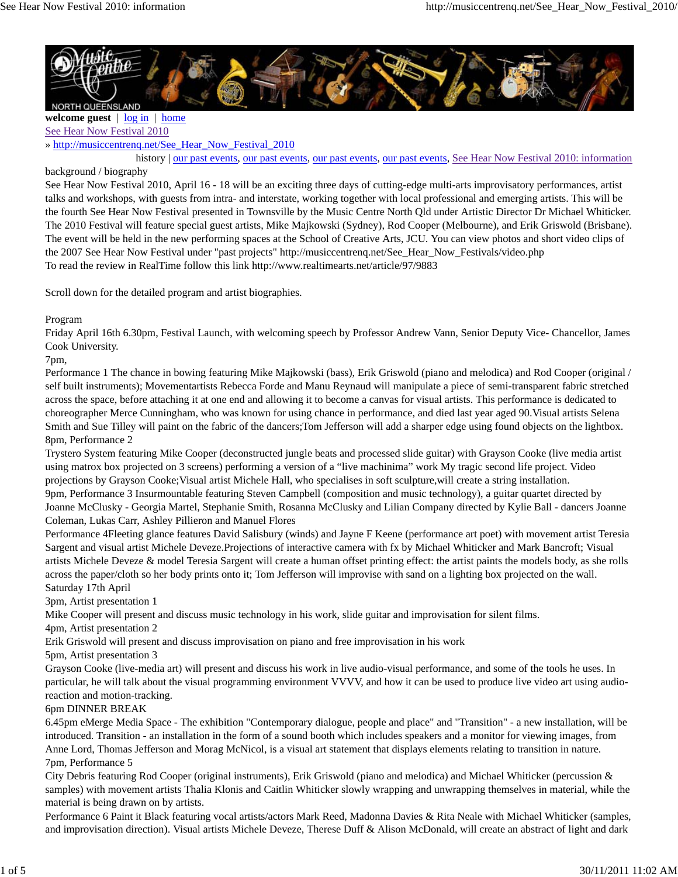

**welcome guest** | log in | home See Hear Now Festival 2010

» http://musiccentrenq.net/See\_Hear\_Now\_Festival\_2010

history | our past events, our past events, our past events, our past events, See Hear Now Festival 2010: information

background / biography

See Hear Now Festival 2010, April 16 - 18 will be an exciting three days of cutting-edge multi-arts improvisatory performances, artist talks and workshops, with guests from intra- and interstate, working together with local professional and emerging artists. This will be the fourth See Hear Now Festival presented in Townsville by the Music Centre North Qld under Artistic Director Dr Michael Whiticker. The 2010 Festival will feature special guest artists, Mike Majkowski (Sydney), Rod Cooper (Melbourne), and Erik Griswold (Brisbane). The event will be held in the new performing spaces at the School of Creative Arts, JCU. You can view photos and short video clips of the 2007 See Hear Now Festival under "past projects" http://musiccentrenq.net/See\_Hear\_Now\_Festivals/video.php To read the review in RealTime follow this link http://www.realtimearts.net/article/97/9883

Scroll down for the detailed program and artist biographies.

Program

Friday April 16th 6.30pm, Festival Launch, with welcoming speech by Professor Andrew Vann, Senior Deputy Vice- Chancellor, James Cook University.

7pm,

Performance 1 The chance in bowing featuring Mike Majkowski (bass), Erik Griswold (piano and melodica) and Rod Cooper (original / self built instruments); Movementartists Rebecca Forde and Manu Reynaud will manipulate a piece of semi-transparent fabric stretched across the space, before attaching it at one end and allowing it to become a canvas for visual artists. This performance is dedicated to choreographer Merce Cunningham, who was known for using chance in performance, and died last year aged 90.Visual artists Selena Smith and Sue Tilley will paint on the fabric of the dancers;Tom Jefferson will add a sharper edge using found objects on the lightbox. 8pm, Performance 2

Trystero System featuring Mike Cooper (deconstructed jungle beats and processed slide guitar) with Grayson Cooke (live media artist using matrox box projected on 3 screens) performing a version of a "live machinima" work My tragic second life project. Video projections by Grayson Cooke;Visual artist Michele Hall, who specialises in soft sculpture,will create a string installation. 9pm, Performance 3 Insurmountable featuring Steven Campbell (composition and music technology), a guitar quartet directed by Joanne McClusky - Georgia Martel, Stephanie Smith, Rosanna McClusky and Lilian Company directed by Kylie Ball - dancers Joanne Coleman, Lukas Carr, Ashley Pillieron and Manuel Flores

Performance 4Fleeting glance features David Salisbury (winds) and Jayne F Keene (performance art poet) with movement artist Teresia Sargent and visual artist Michele Deveze.Projections of interactive camera with fx by Michael Whiticker and Mark Bancroft; Visual artists Michele Deveze & model Teresia Sargent will create a human offset printing effect: the artist paints the models body, as she rolls across the paper/cloth so her body prints onto it; Tom Jefferson will improvise with sand on a lighting box projected on the wall. Saturday 17th April

3pm, Artist presentation 1

Mike Cooper will present and discuss music technology in his work, slide guitar and improvisation for silent films.

4pm, Artist presentation 2

Erik Griswold will present and discuss improvisation on piano and free improvisation in his work

5pm, Artist presentation 3

Grayson Cooke (live-media art) will present and discuss his work in live audio-visual performance, and some of the tools he uses. In particular, he will talk about the visual programming environment VVVV, and how it can be used to produce live video art using audioreaction and motion-tracking.

## 6pm DINNER BREAK

6.45pm eMerge Media Space - The exhibition "Contemporary dialogue, people and place" and "Transition" - a new installation, will be introduced. Transition - an installation in the form of a sound booth which includes speakers and a monitor for viewing images, from Anne Lord, Thomas Jefferson and Morag McNicol, is a visual art statement that displays elements relating to transition in nature. 7pm, Performance 5

City Debris featuring Rod Cooper (original instruments), Erik Griswold (piano and melodica) and Michael Whiticker (percussion & samples) with movement artists Thalia Klonis and Caitlin Whiticker slowly wrapping and unwrapping themselves in material, while the material is being drawn on by artists.

Performance 6 Paint it Black featuring vocal artists/actors Mark Reed, Madonna Davies & Rita Neale with Michael Whiticker (samples, and improvisation direction). Visual artists Michele Deveze, Therese Duff & Alison McDonald, will create an abstract of light and dark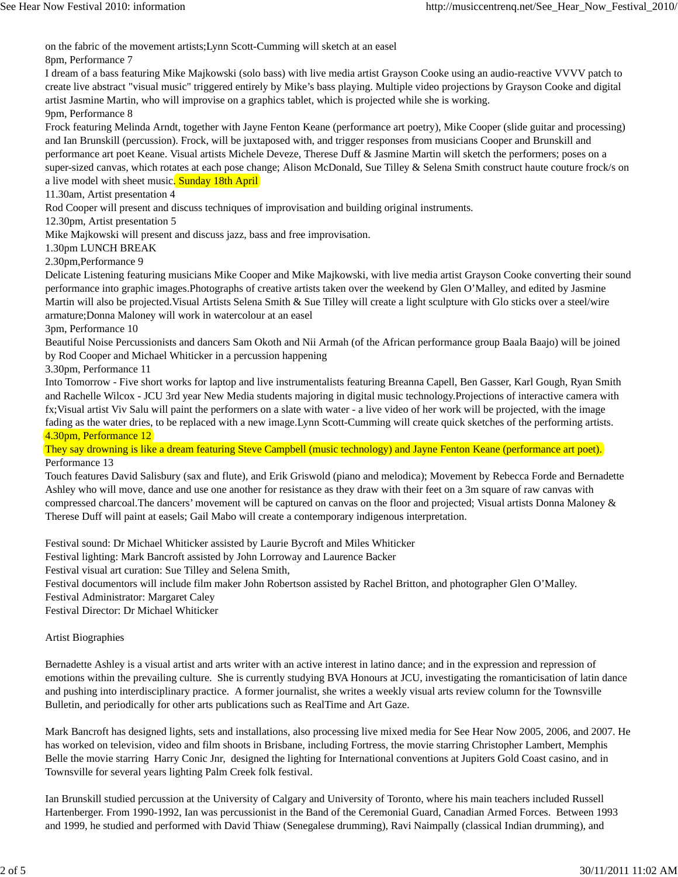on the fabric of the movement artists;Lynn Scott-Cumming will sketch at an easel

8pm, Performance 7

I dream of a bass featuring Mike Majkowski (solo bass) with live media artist Grayson Cooke using an audio-reactive VVVV patch to create live abstract "visual music" triggered entirely by Mike's bass playing. Multiple video projections by Grayson Cooke and digital artist Jasmine Martin, who will improvise on a graphics tablet, which is projected while she is working. 9pm, Performance 8

Frock featuring Melinda Arndt, together with Jayne Fenton Keane (performance art poetry), Mike Cooper (slide guitar and processing) and Ian Brunskill (percussion). Frock, will be juxtaposed with, and trigger responses from musicians Cooper and Brunskill and performance art poet Keane. Visual artists Michele Deveze, Therese Duff & Jasmine Martin will sketch the performers; poses on a super-sized canvas, which rotates at each pose change; Alison McDonald, Sue Tilley & Selena Smith construct haute couture frock/s on a live model with sheet music. Sunday 18th April

11.30am, Artist presentation 4

Rod Cooper will present and discuss techniques of improvisation and building original instruments.

12.30pm, Artist presentation 5

Mike Majkowski will present and discuss jazz, bass and free improvisation.

1.30pm LUNCH BREAK

2.30pm,Performance 9

Delicate Listening featuring musicians Mike Cooper and Mike Majkowski, with live media artist Grayson Cooke converting their sound performance into graphic images.Photographs of creative artists taken over the weekend by Glen O'Malley, and edited by Jasmine Martin will also be projected.Visual Artists Selena Smith & Sue Tilley will create a light sculpture with Glo sticks over a steel/wire armature;Donna Maloney will work in watercolour at an easel

3pm, Performance 10

Beautiful Noise Percussionists and dancers Sam Okoth and Nii Armah (of the African performance group Baala Baajo) will be joined by Rod Cooper and Michael Whiticker in a percussion happening

3.30pm, Performance 11

Into Tomorrow - Five short works for laptop and live instrumentalists featuring Breanna Capell, Ben Gasser, Karl Gough, Ryan Smith and Rachelle Wilcox - JCU 3rd year New Media students majoring in digital music technology.Projections of interactive camera with fx;Visual artist Viv Salu will paint the performers on a slate with water - a live video of her work will be projected, with the image fading as the water dries, to be replaced with a new image.Lynn Scott-Cumming will create quick sketches of the performing artists. 4.30pm, Performance 12

They say drowning is like a dream featuring Steve Campbell (music technology) and Jayne Fenton Keane (performance art poet). Performance 13

Touch features David Salisbury (sax and flute), and Erik Griswold (piano and melodica); Movement by Rebecca Forde and Bernadette Ashley who will move, dance and use one another for resistance as they draw with their feet on a 3m square of raw canvas with compressed charcoal.The dancers' movement will be captured on canvas on the floor and projected; Visual artists Donna Maloney & Therese Duff will paint at easels; Gail Mabo will create a contemporary indigenous interpretation.

Festival sound: Dr Michael Whiticker assisted by Laurie Bycroft and Miles Whiticker

Festival lighting: Mark Bancroft assisted by John Lorroway and Laurence Backer

Festival visual art curation: Sue Tilley and Selena Smith,

Festival documentors will include film maker John Robertson assisted by Rachel Britton, and photographer Glen O'Malley.

Festival Administrator: Margaret Caley

Festival Director: Dr Michael Whiticker

Artist Biographies

Bernadette Ashley is a visual artist and arts writer with an active interest in latino dance; and in the expression and repression of emotions within the prevailing culture. She is currently studying BVA Honours at JCU, investigating the romanticisation of latin dance and pushing into interdisciplinary practice. A former journalist, she writes a weekly visual arts review column for the Townsville Bulletin, and periodically for other arts publications such as RealTime and Art Gaze.

Mark Bancroft has designed lights, sets and installations, also processing live mixed media for See Hear Now 2005, 2006, and 2007. He has worked on television, video and film shoots in Brisbane, including Fortress, the movie starring Christopher Lambert, Memphis Belle the movie starring Harry Conic Jnr, designed the lighting for International conventions at Jupiters Gold Coast casino, and in Townsville for several years lighting Palm Creek folk festival.

Ian Brunskill studied percussion at the University of Calgary and University of Toronto, where his main teachers included Russell Hartenberger. From 1990-1992, Ian was percussionist in the Band of the Ceremonial Guard, Canadian Armed Forces. Between 1993 and 1999, he studied and performed with David Thiaw (Senegalese drumming), Ravi Naimpally (classical Indian drumming), and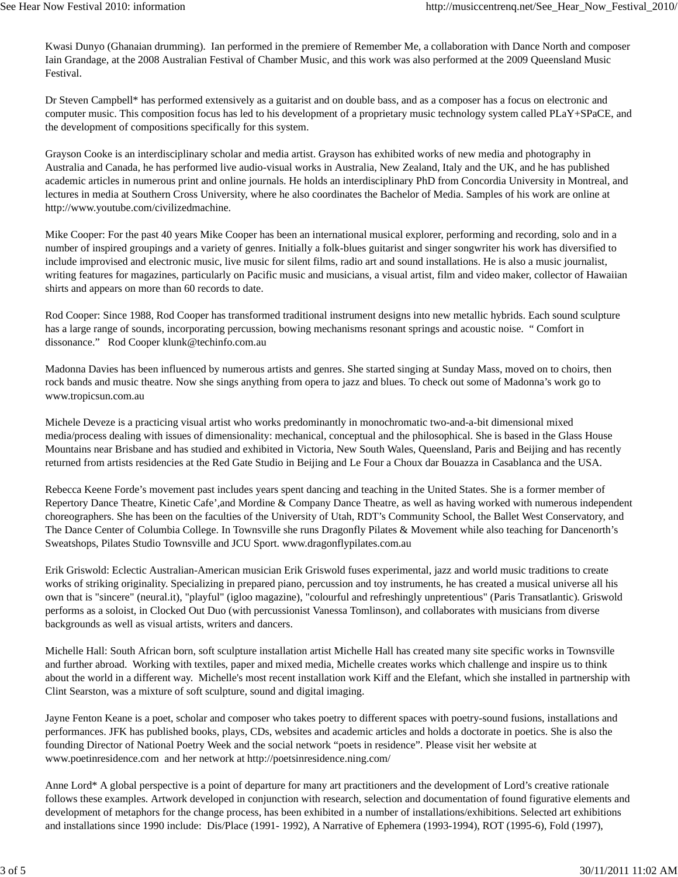Kwasi Dunyo (Ghanaian drumming). Ian performed in the premiere of Remember Me, a collaboration with Dance North and composer Iain Grandage, at the 2008 Australian Festival of Chamber Music, and this work was also performed at the 2009 Queensland Music Festival.

Dr Steven Campbell\* has performed extensively as a guitarist and on double bass, and as a composer has a focus on electronic and computer music. This composition focus has led to his development of a proprietary music technology system called PLaY+SPaCE, and the development of compositions specifically for this system.

Grayson Cooke is an interdisciplinary scholar and media artist. Grayson has exhibited works of new media and photography in Australia and Canada, he has performed live audio-visual works in Australia, New Zealand, Italy and the UK, and he has published academic articles in numerous print and online journals. He holds an interdisciplinary PhD from Concordia University in Montreal, and lectures in media at Southern Cross University, where he also coordinates the Bachelor of Media. Samples of his work are online at http://www.youtube.com/civilizedmachine.

Mike Cooper: For the past 40 years Mike Cooper has been an international musical explorer, performing and recording, solo and in a number of inspired groupings and a variety of genres. Initially a folk-blues guitarist and singer songwriter his work has diversified to include improvised and electronic music, live music for silent films, radio art and sound installations. He is also a music journalist, writing features for magazines, particularly on Pacific music and musicians, a visual artist, film and video maker, collector of Hawaiian shirts and appears on more than 60 records to date.

Rod Cooper: Since 1988, Rod Cooper has transformed traditional instrument designs into new metallic hybrids. Each sound sculpture has a large range of sounds, incorporating percussion, bowing mechanisms resonant springs and acoustic noise. " Comfort in dissonance." Rod Cooper klunk@techinfo.com.au

Madonna Davies has been influenced by numerous artists and genres. She started singing at Sunday Mass, moved on to choirs, then rock bands and music theatre. Now she sings anything from opera to jazz and blues. To check out some of Madonna's work go to www.tropicsun.com.au

Michele Deveze is a practicing visual artist who works predominantly in monochromatic two-and-a-bit dimensional mixed media/process dealing with issues of dimensionality: mechanical, conceptual and the philosophical. She is based in the Glass House Mountains near Brisbane and has studied and exhibited in Victoria, New South Wales, Queensland, Paris and Beijing and has recently returned from artists residencies at the Red Gate Studio in Beijing and Le Four a Choux dar Bouazza in Casablanca and the USA.

Rebecca Keene Forde's movement past includes years spent dancing and teaching in the United States. She is a former member of Repertory Dance Theatre, Kinetic Cafe',and Mordine & Company Dance Theatre, as well as having worked with numerous independent choreographers. She has been on the faculties of the University of Utah, RDT's Community School, the Ballet West Conservatory, and The Dance Center of Columbia College. In Townsville she runs Dragonfly Pilates & Movement while also teaching for Dancenorth's Sweatshops, Pilates Studio Townsville and JCU Sport. www.dragonflypilates.com.au

Erik Griswold: Eclectic Australian-American musician Erik Griswold fuses experimental, jazz and world music traditions to create works of striking originality. Specializing in prepared piano, percussion and toy instruments, he has created a musical universe all his own that is "sincere" (neural.it), "playful" (igloo magazine), "colourful and refreshingly unpretentious" (Paris Transatlantic). Griswold performs as a soloist, in Clocked Out Duo (with percussionist Vanessa Tomlinson), and collaborates with musicians from diverse backgrounds as well as visual artists, writers and dancers.

Michelle Hall: South African born, soft sculpture installation artist Michelle Hall has created many site specific works in Townsville and further abroad. Working with textiles, paper and mixed media, Michelle creates works which challenge and inspire us to think about the world in a different way. Michelle's most recent installation work Kiff and the Elefant, which she installed in partnership with Clint Searston, was a mixture of soft sculpture, sound and digital imaging.

Jayne Fenton Keane is a poet, scholar and composer who takes poetry to different spaces with poetry-sound fusions, installations and performances. JFK has published books, plays, CDs, websites and academic articles and holds a doctorate in poetics. She is also the founding Director of National Poetry Week and the social network "poets in residence". Please visit her website at www.poetinresidence.com and her network at http://poetsinresidence.ning.com/

Anne Lord\* A global perspective is a point of departure for many art practitioners and the development of Lord's creative rationale follows these examples. Artwork developed in conjunction with research, selection and documentation of found figurative elements and development of metaphors for the change process, has been exhibited in a number of installations/exhibitions. Selected art exhibitions and installations since 1990 include: Dis/Place (1991- 1992), A Narrative of Ephemera (1993-1994), ROT (1995-6), Fold (1997),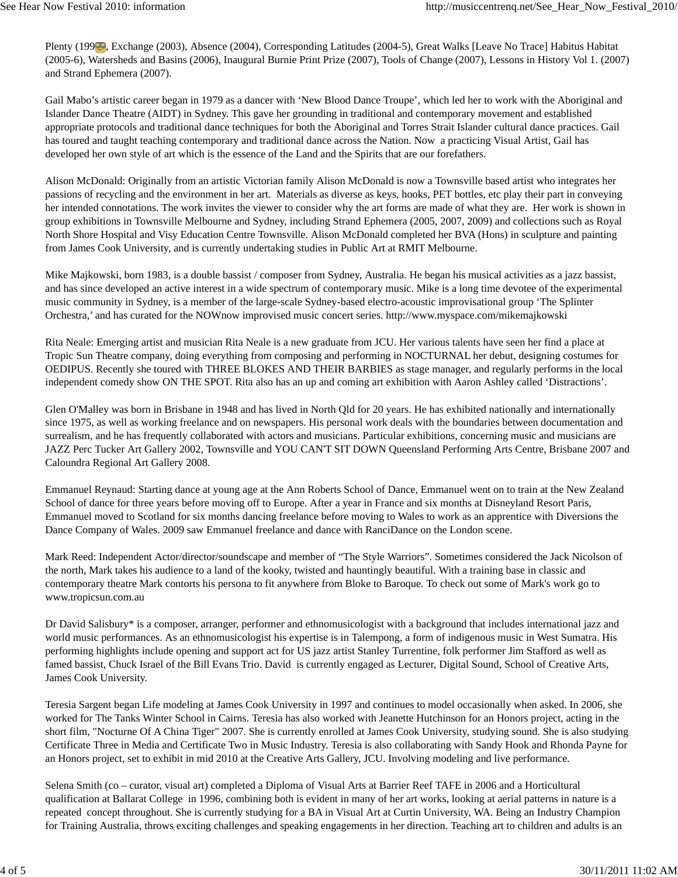Plenty (1993), Exchange (2003), Absence (2004), Corresponding Latitudes (2004-5), Great Walks [Leave No Trace] Habitus Habitat (2005-6), Watersheds and Basins (2006), Inaugural Burnie Print Prize (2007), Tools of Change (2007), Lessons in History Vol 1. (2007) and Strand Ephemera (2007).

Gail Mabo's artistic career began in 1979 as a dancer with 'New Blood Dance Troupe', which led her to work with the Aboriginal and Islander Dance Theatre (AIDT) in Sydney. This gave her grounding in traditional and contemporary movement and established appropriate protocols and traditional dance techniques for both the Aboriginal and Torres Strait Islander cultural dance practices. Gail has toured and taught teaching contemporary and traditional dance across the Nation. Now a practicing Visual Artist, Gail has developed her own style of art which is the essence of the Land and the Spirits that are our forefathers.

Alison McDonald: Originally from an artistic Victorian family Alison McDonald is now a Townsville based artist who integrates her passions of recycling and the environment in her art. Materials as diverse as keys, hooks, PET bottles, etc play their part in conveying her intended connotations. The work invites the viewer to consider why the art forms are made of what they are. Her work is shown in group exhibitions in Townsville Melbourne and Sydney, including Strand Ephemera (2005, 2007, 2009) and collections such as Royal North Shore Hospital and Visy Education Centre Townsville. Alison McDonald completed her BVA (Hons) in sculpture and painting from James Cook University, and is currently undertaking studies in Public Art at RMIT Melbourne.

Mike Majkowski, born 1983, is a double bassist / composer from Sydney, Australia. He began his musical activities as a jazz bassist, and has since developed an active interest in a wide spectrum of contemporary music. Mike is a long time devotee of the experimental music community in Sydney, is a member of the large-scale Sydney-based electro-acoustic improvisational group 'The Splinter Orchestra,' and has curated for the NOWnow improvised music concert series. http://www.myspace.com/mikemajkowski

Rita Neale: Emerging artist and musician Rita Neale is a new graduate from JCU. Her various talents have seen her find a place at Tropic Sun Theatre company, doing everything from composing and performing in NOCTURNAL her debut, designing costumes for OEDIPUS. Recently she toured with THREE BLOKES AND THEIR BARBIES as stage manager, and regularly performs in the local independent comedy show ON THE SPOT. Rita also has an up and coming art exhibition with Aaron Ashley called 'Distractions'.

Glen O'Malley was born in Brisbane in 1948 and has lived in North Qld for 20 years. He has exhibited nationally and internationally since 1975, as well as working freelance and on newspapers. His personal work deals with the boundaries between documentation and surrealism, and he has frequently collaborated with actors and musicians. Particular exhibitions, concerning music and musicians are JAZZ Perc Tucker Art Gallery 2002, Townsville and YOU CAN'T SIT DOWN Queensland Performing Arts Centre, Brisbane 2007 and Caloundra Regional Art Gallery 2008.

Emmanuel Reynaud: Starting dance at young age at the Ann Roberts School of Dance, Emmanuel went on to train at the New Zealand School of dance for three years before moving off to Europe. After a year in France and six months at Disneyland Resort Paris, Emmanuel moved to Scotland for six months dancing freelance before moving to Wales to work as an apprentice with Diversions the Dance Company of Wales. 2009 saw Emmanuel freelance and dance with RanciDance on the London scene.

Mark Reed: Independent Actor/director/soundscape and member of "The Style Warriors". Sometimes considered the Jack Nicolson of the north, Mark takes his audience to a land of the kooky, twisted and hauntingly beautiful. With a training base in classic and contemporary theatre Mark contorts his persona to fit anywhere from Bloke to Baroque. To check out some of Mark's work go to www.tropicsun.com.au

Dr David Salisbury\* is a composer, arranger, performer and ethnomusicologist with a background that includes international jazz and world music performances. As an ethnomusicologist his expertise is in Talempong, a form of indigenous music in West Sumatra. His performing highlights include opening and support act for US jazz artist Stanley Turrentine, folk performer Jim Stafford as well as famed bassist, Chuck Israel of the Bill Evans Trio. David is currently engaged as Lecturer, Digital Sound, School of Creative Arts, James Cook University.

Teresia Sargent began Life modeling at James Cook University in 1997 and continues to model occasionally when asked. In 2006, she worked for The Tanks Winter School in Cairns. Teresia has also worked with Jeanette Hutchinson for an Honors project, acting in the short film, "Nocturne Of A China Tiger" 2007. She is currently enrolled at James Cook University, studying sound. She is also studying Certificate Three in Media and Certificate Two in Music Industry. Teresia is also collaborating with Sandy Hook and Rhonda Payne for an Honors project, set to exhibit in mid 2010 at the Creative Arts Gallery, JCU. Involving modeling and live performance.

Selena Smith (co – curator, visual art) completed a Diploma of Visual Arts at Barrier Reef TAFE in 2006 and a Horticultural qualification at Ballarat College in 1996, combining both is evident in many of her art works, looking at aerial patterns in nature is a repeated concept throughout. She is currently studying for a BA in Visual Art at Curtin University, WA. Being an Industry Champion for Training Australia, throws exciting challenges and speaking engagements in her direction. Teaching art to children and adults is an